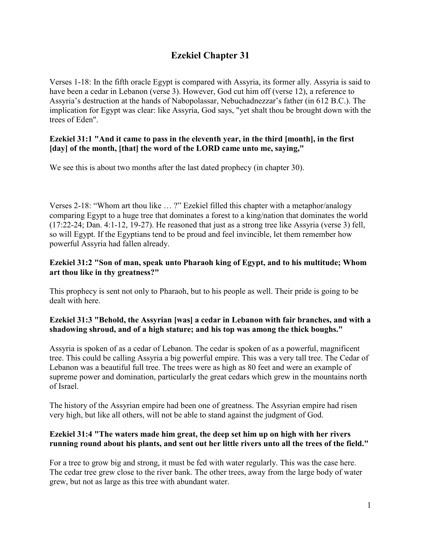# **Ezekiel Chapter 31**

Verses 1-18: In the fifth oracle Egypt is compared with Assyria, its former ally. Assyria is said to have been a cedar in Lebanon (verse 3). However, God cut him off (verse 12), a reference to Assyria's destruction at the hands of Nabopolassar, Nebuchadnezzar's father (in 612 B.C.). The implication for Egypt was clear: like Assyria, God says, "yet shalt thou be brought down with the trees of Eden".

## **Ezekiel 31:1 "And it came to pass in the eleventh year, in the third [month], in the first [day] of the month, [that] the word of the LORD came unto me, saying,"**

We see this is about two months after the last dated prophecy (in chapter 30).

Verses 2-18: "Whom art thou like … ?" Ezekiel filled this chapter with a metaphor/analogy comparing Egypt to a huge tree that dominates a forest to a king/nation that dominates the world (17:22-24; Dan. 4:1-12, 19-27). He reasoned that just as a strong tree like Assyria (verse 3) fell, so will Egypt. If the Egyptians tend to be proud and feel invincible, let them remember how powerful Assyria had fallen already.

# **Ezekiel 31:2 "Son of man, speak unto Pharaoh king of Egypt, and to his multitude; Whom art thou like in thy greatness?"**

This prophecy is sent not only to Pharaoh, but to his people as well. Their pride is going to be dealt with here.

# **Ezekiel 31:3 "Behold, the Assyrian [was] a cedar in Lebanon with fair branches, and with a shadowing shroud, and of a high stature; and his top was among the thick boughs."**

Assyria is spoken of as a cedar of Lebanon. The cedar is spoken of as a powerful, magnificent tree. This could be calling Assyria a big powerful empire. This was a very tall tree. The Cedar of Lebanon was a beautiful full tree. The trees were as high as 80 feet and were an example of supreme power and domination, particularly the great cedars which grew in the mountains north of Israel.

The history of the Assyrian empire had been one of greatness. The Assyrian empire had risen very high, but like all others, will not be able to stand against the judgment of God.

# **Ezekiel 31:4 "The waters made him great, the deep set him up on high with her rivers running round about his plants, and sent out her little rivers unto all the trees of the field."**

For a tree to grow big and strong, it must be fed with water regularly. This was the case here. The cedar tree grew close to the river bank. The other trees, away from the large body of water grew, but not as large as this tree with abundant water.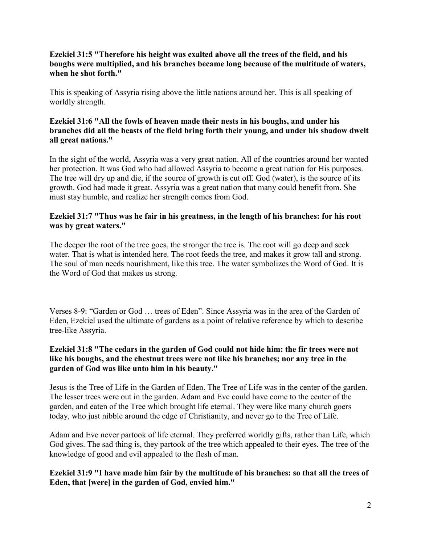## **Ezekiel 31:5 "Therefore his height was exalted above all the trees of the field, and his boughs were multiplied, and his branches became long because of the multitude of waters, when he shot forth."**

This is speaking of Assyria rising above the little nations around her. This is all speaking of worldly strength.

## **Ezekiel 31:6 "All the fowls of heaven made their nests in his boughs, and under his branches did all the beasts of the field bring forth their young, and under his shadow dwelt all great nations."**

In the sight of the world, Assyria was a very great nation. All of the countries around her wanted her protection. It was God who had allowed Assyria to become a great nation for His purposes. The tree will dry up and die, if the source of growth is cut off. God (water), is the source of its growth. God had made it great. Assyria was a great nation that many could benefit from. She must stay humble, and realize her strength comes from God.

#### **Ezekiel 31:7 "Thus was he fair in his greatness, in the length of his branches: for his root was by great waters."**

The deeper the root of the tree goes, the stronger the tree is. The root will go deep and seek water. That is what is intended here. The root feeds the tree, and makes it grow tall and strong. The soul of man needs nourishment, like this tree. The water symbolizes the Word of God. It is the Word of God that makes us strong.

Verses 8-9: "Garden or God … trees of Eden". Since Assyria was in the area of the Garden of Eden, Ezekiel used the ultimate of gardens as a point of relative reference by which to describe tree-like Assyria.

## **Ezekiel 31:8 "The cedars in the garden of God could not hide him: the fir trees were not like his boughs, and the chestnut trees were not like his branches; nor any tree in the garden of God was like unto him in his beauty."**

Jesus is the Tree of Life in the Garden of Eden. The Tree of Life was in the center of the garden. The lesser trees were out in the garden. Adam and Eve could have come to the center of the garden, and eaten of the Tree which brought life eternal. They were like many church goers today, who just nibble around the edge of Christianity, and never go to the Tree of Life.

Adam and Eve never partook of life eternal. They preferred worldly gifts, rather than Life, which God gives. The sad thing is, they partook of the tree which appealed to their eyes. The tree of the knowledge of good and evil appealed to the flesh of man.

**Ezekiel 31:9 "I have made him fair by the multitude of his branches: so that all the trees of Eden, that [were] in the garden of God, envied him."**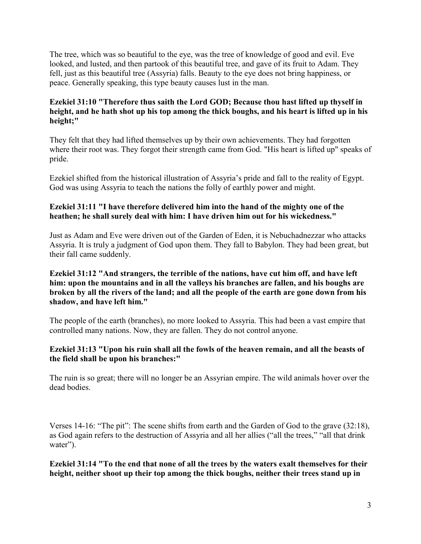The tree, which was so beautiful to the eye, was the tree of knowledge of good and evil. Eve looked, and lusted, and then partook of this beautiful tree, and gave of its fruit to Adam. They fell, just as this beautiful tree (Assyria) falls. Beauty to the eye does not bring happiness, or peace. Generally speaking, this type beauty causes lust in the man.

## **Ezekiel 31:10 "Therefore thus saith the Lord GOD; Because thou hast lifted up thyself in height, and he hath shot up his top among the thick boughs, and his heart is lifted up in his height;"**

They felt that they had lifted themselves up by their own achievements. They had forgotten where their root was. They forgot their strength came from God. "His heart is lifted up" speaks of pride.

Ezekiel shifted from the historical illustration of Assyria's pride and fall to the reality of Egypt. God was using Assyria to teach the nations the folly of earthly power and might.

## **Ezekiel 31:11 "I have therefore delivered him into the hand of the mighty one of the heathen; he shall surely deal with him: I have driven him out for his wickedness."**

Just as Adam and Eve were driven out of the Garden of Eden, it is Nebuchadnezzar who attacks Assyria. It is truly a judgment of God upon them. They fall to Babylon. They had been great, but their fall came suddenly.

## **Ezekiel 31:12 "And strangers, the terrible of the nations, have cut him off, and have left him: upon the mountains and in all the valleys his branches are fallen, and his boughs are broken by all the rivers of the land; and all the people of the earth are gone down from his shadow, and have left him."**

The people of the earth (branches), no more looked to Assyria. This had been a vast empire that controlled many nations. Now, they are fallen. They do not control anyone.

## **Ezekiel 31:13 "Upon his ruin shall all the fowls of the heaven remain, and all the beasts of the field shall be upon his branches:"**

The ruin is so great; there will no longer be an Assyrian empire. The wild animals hover over the dead bodies.

Verses 14-16: "The pit": The scene shifts from earth and the Garden of God to the grave (32:18), as God again refers to the destruction of Assyria and all her allies ("all the trees," "all that drink water").

**Ezekiel 31:14 "To the end that none of all the trees by the waters exalt themselves for their height, neither shoot up their top among the thick boughs, neither their trees stand up in**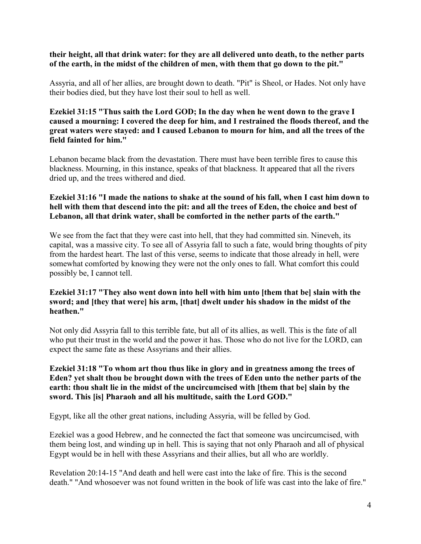#### **their height, all that drink water: for they are all delivered unto death, to the nether parts of the earth, in the midst of the children of men, with them that go down to the pit."**

Assyria, and all of her allies, are brought down to death. "Pit" is Sheol, or Hades. Not only have their bodies died, but they have lost their soul to hell as well.

#### **Ezekiel 31:15 "Thus saith the Lord GOD; In the day when he went down to the grave I caused a mourning: I covered the deep for him, and I restrained the floods thereof, and the great waters were stayed: and I caused Lebanon to mourn for him, and all the trees of the field fainted for him."**

Lebanon became black from the devastation. There must have been terrible fires to cause this blackness. Mourning, in this instance, speaks of that blackness. It appeared that all the rivers dried up, and the trees withered and died.

## **Ezekiel 31:16 "I made the nations to shake at the sound of his fall, when I cast him down to hell with them that descend into the pit: and all the trees of Eden, the choice and best of Lebanon, all that drink water, shall be comforted in the nether parts of the earth."**

We see from the fact that they were cast into hell, that they had committed sin. Nineveh, its capital, was a massive city. To see all of Assyria fall to such a fate, would bring thoughts of pity from the hardest heart. The last of this verse, seems to indicate that those already in hell, were somewhat comforted by knowing they were not the only ones to fall. What comfort this could possibly be, I cannot tell.

#### **Ezekiel 31:17 "They also went down into hell with him unto [them that be] slain with the sword; and [they that were] his arm, [that] dwelt under his shadow in the midst of the heathen."**

Not only did Assyria fall to this terrible fate, but all of its allies, as well. This is the fate of all who put their trust in the world and the power it has. Those who do not live for the LORD, can expect the same fate as these Assyrians and their allies.

#### **Ezekiel 31:18 "To whom art thou thus like in glory and in greatness among the trees of Eden? yet shalt thou be brought down with the trees of Eden unto the nether parts of the earth: thou shalt lie in the midst of the uncircumcised with [them that be] slain by the sword. This [is] Pharaoh and all his multitude, saith the Lord GOD."**

Egypt, like all the other great nations, including Assyria, will be felled by God.

Ezekiel was a good Hebrew, and he connected the fact that someone was uncircumcised, with them being lost, and winding up in hell. This is saying that not only Pharaoh and all of physical Egypt would be in hell with these Assyrians and their allies, but all who are worldly.

Revelation 20:14-15 "And death and hell were cast into the lake of fire. This is the second death." "And whosoever was not found written in the book of life was cast into the lake of fire."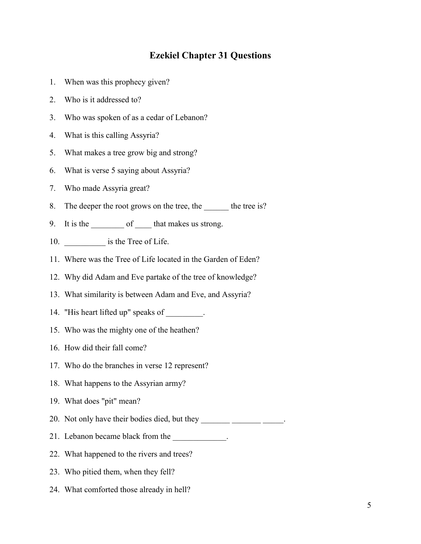# **Ezekiel Chapter 31 Questions**

- 1. When was this prophecy given?
- 2. Who is it addressed to?
- 3. Who was spoken of as a cedar of Lebanon?
- 4. What is this calling Assyria?
- 5. What makes a tree grow big and strong?
- 6. What is verse 5 saying about Assyria?
- 7. Who made Assyria great?
- 8. The deeper the root grows on the tree, the set of the tree is?
- 9. It is the \_\_\_\_\_\_\_\_ of \_\_\_\_\_ that makes us strong.
- 10. \_\_\_\_\_\_\_\_\_\_\_\_\_ is the Tree of Life.
- 11. Where was the Tree of Life located in the Garden of Eden?
- 12. Why did Adam and Eve partake of the tree of knowledge?
- 13. What similarity is between Adam and Eve, and Assyria?
- 14. "His heart lifted up" speaks of \_\_\_\_\_\_\_\_.
- 15. Who was the mighty one of the heathen?
- 16. How did their fall come?
- 17. Who do the branches in verse 12 represent?
- 18. What happens to the Assyrian army?
- 19. What does "pit" mean?
- 20. Not only have their bodies died, but they \_\_\_\_\_\_\_\_\_\_\_\_\_\_\_\_\_\_\_\_\_\_\_\_\_\_\_\_.
- 21. Lebanon became black from the
- 22. What happened to the rivers and trees?
- 23. Who pitied them, when they fell?
- 24. What comforted those already in hell?